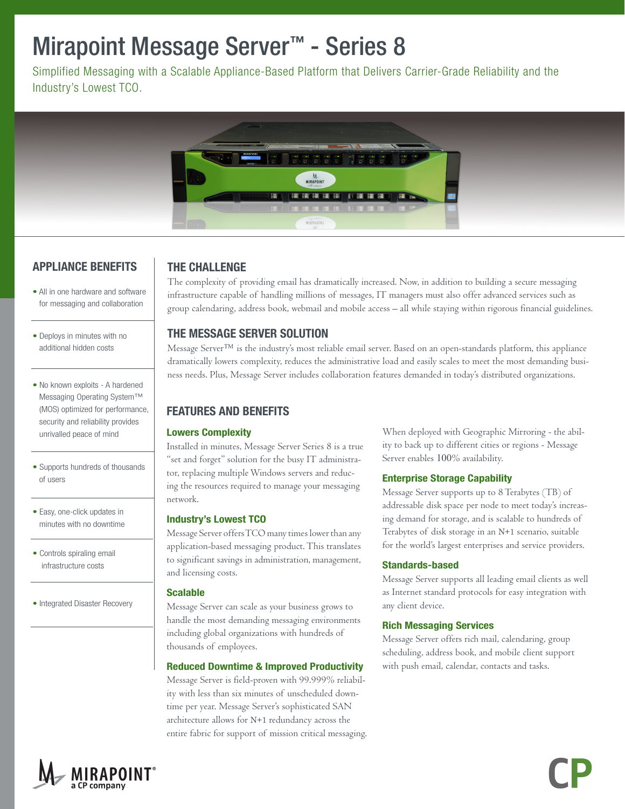# Mirapoint Message Server**™** - Series 8

Simplified Messaging with a Scalable Appliance-Based Platform that Delivers Carrier-Grade Reliability and the Industry's Lowest TCO.



# APPLIANCE BENEFITS

• All in one hardware and software for messaging and collaboration

- Deploys in minutes with no additional hidden costs
- No known exploits A hardened Messaging Operating System™ (MOS) optimized for performance, security and reliability provides unrivalled peace of mind
- Supports hundreds of thousands of users
- Easy, one-click updates in minutes with no downtime
- Controls spiraling email infrastructure costs
- Integrated Disaster Recovery

# THE CHALLENGE

The complexity of providing email has dramatically increased. Now, in addition to building a secure messaging infrastructure capable of handling millions of messages, IT managers must also offer advanced services such as group calendaring, address book, webmail and mobile access – all while staying within rigorous financial guidelines.

### THE MESSAGE SERVER SOLUTION

Message Server™ is the industry's most reliable email server. Based on an open-standards platform, this appliance dramatically lowers complexity, reduces the administrative load and easily scales to meet the most demanding business needs. Plus, Message Server includes collaboration features demanded in today's distributed organizations.

## FEATURES AND BENEFITS

#### Lowers Complexity

Installed in minutes, Message Server Series 8 is a true "set and forget" solution for the busy IT administrator, replacing multiple Windows servers and reducing the resources required to manage your messaging network.

#### Industry's Lowest TCO

Message Server offers TCO many times lower than any application-based messaging product. This translates to significant savings in administration, management, and licensing costs.

#### Scalable

Message Server can scale as your business grows to handle the most demanding messaging environments including global organizations with hundreds of thousands of employees.

#### Reduced Downtime & Improved Productivity

Message Server is field-proven with 99.999% reliability with less than six minutes of unscheduled downtime per year. Message Server's sophisticated SAN architecture allows for N+1 redundancy across the entire fabric for support of mission critical messaging.

When deployed with Geographic Mirroring - the ability to back up to different cities or regions - Message Server enables 100% availability.

#### Enterprise Storage Capability

Message Server supports up to 8 Terabytes (TB) of addressable disk space per node to meet today's increasing demand for storage, and is scalable to hundreds of Terabytes of disk storage in an N+1 scenario, suitable for the world's largest enterprises and service providers.

#### Standards-based

Message Server supports all leading email clients as well as Internet standard protocols for easy integration with any client device.

#### Rich Messaging Services

Message Server offers rich mail, calendaring, group scheduling, address book, and mobile client support with push email, calendar, contacts and tasks.